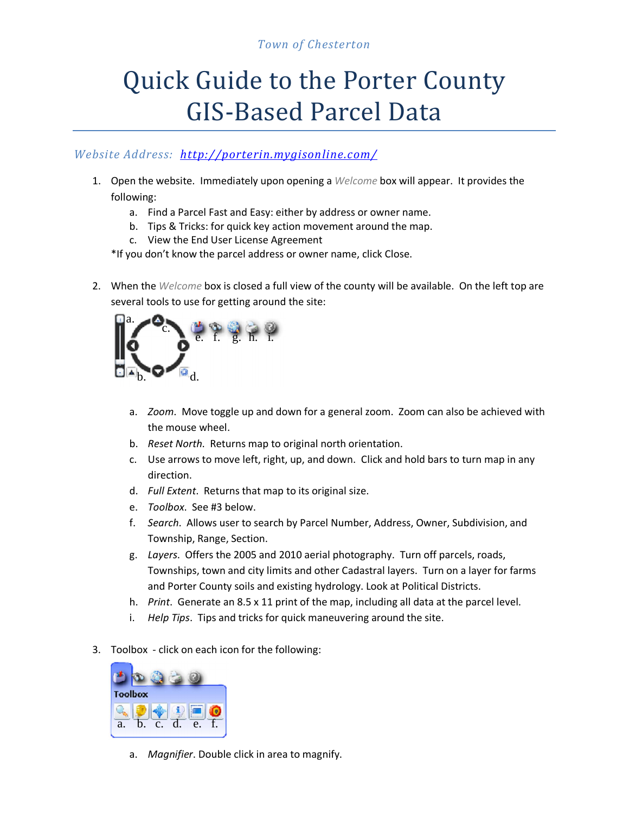## *Town of Chesterton*

## Quick Guide to the Porter County GIS-Based Parcel Data

## *Website Address: <http://porterin.mygisonline.com/>*

- 1. Open the website. Immediately upon opening a *Welcome* box will appear. It provides the following:
	- a. Find a Parcel Fast and Easy: either by address or owner name.
	- b. Tips & Tricks: for quick key action movement around the map.
	- c. View the End User License Agreement

\*If you don't know the parcel address or owner name, click Close.

2. When the *Welcome* box is closed a full view of the county will be available. On the left top are several tools to use for getting around the site:



- a. *Zoom*. Move toggle up and down for a general zoom. Zoom can also be achieved with the mouse wheel.
- b. *Reset North*. Returns map to original north orientation.
- c. Use arrows to move left, right, up, and down. Click and hold bars to turn map in any direction.
- d. *Full Extent*. Returns that map to its original size.
- e. *Toolbox*. See #3 below.
- f. *Search*. Allows user to search by Parcel Number, Address, Owner, Subdivision, and Township, Range, Section.
- g. *Layers*. Offers the 2005 and 2010 aerial photography. Turn off parcels, roads, Townships, town and city limits and other Cadastral layers. Turn on a layer for farms and Porter County soils and existing hydrology. Look at Political Districts.
- h. *Print*. Generate an 8.5 x 11 print of the map, including all data at the parcel level.
- i. *Help Tips*. Tips and tricks for quick maneuvering around the site.
- 3. Toolbox click on each icon for the following:



a. *Magnifier*. Double click in area to magnify.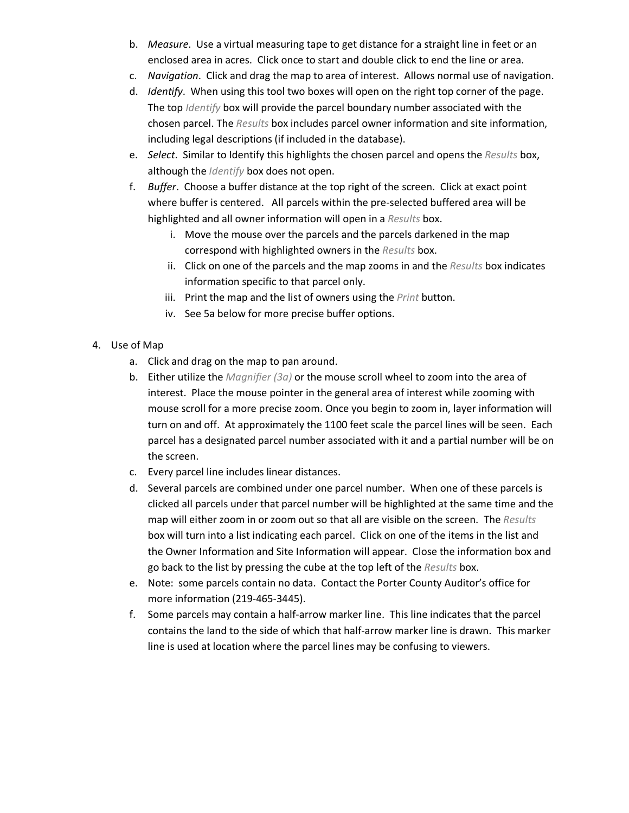- b. *Measure*. Use a virtual measuring tape to get distance for a straight line in feet or an enclosed area in acres. Click once to start and double click to end the line or area.
- c. *Navigation*. Click and drag the map to area of interest. Allows normal use of navigation.
- d. *Identify*. When using this tool two boxes will open on the right top corner of the page. The top *Identify* box will provide the parcel boundary number associated with the chosen parcel. The *Results* box includes parcel owner information and site information, including legal descriptions (if included in the database).
- e. *Select*. Similar to Identify this highlights the chosen parcel and opens the *Results* box, although the *Identify* box does not open.
- f. *Buffer*. Choose a buffer distance at the top right of the screen. Click at exact point where buffer is centered. All parcels within the pre-selected buffered area will be highlighted and all owner information will open in a *Results* box.
	- i. Move the mouse over the parcels and the parcels darkened in the map correspond with highlighted owners in the *Results* box.
	- ii. Click on one of the parcels and the map zooms in and the *Results* box indicates information specific to that parcel only.
	- iii. Print the map and the list of owners using the *Print* button.
	- iv. See 5a below for more precise buffer options.
- 4. Use of Map
	- a. Click and drag on the map to pan around.
	- b. Either utilize the *Magnifier (3a)* or the mouse scroll wheel to zoom into the area of interest. Place the mouse pointer in the general area of interest while zooming with mouse scroll for a more precise zoom. Once you begin to zoom in, layer information will turn on and off. At approximately the 1100 feet scale the parcel lines will be seen. Each parcel has a designated parcel number associated with it and a partial number will be on the screen.
	- c. Every parcel line includes linear distances.
	- d. Several parcels are combined under one parcel number. When one of these parcels is clicked all parcels under that parcel number will be highlighted at the same time and the map will either zoom in or zoom out so that all are visible on the screen. The *Results* box will turn into a list indicating each parcel. Click on one of the items in the list and the Owner Information and Site Information will appear. Close the information box and go back to the list by pressing the cube at the top left of the *Results* box.
	- e. Note: some parcels contain no data. Contact the Porter County Auditor's office for more information (219-465-3445).
	- f. Some parcels may contain a half-arrow marker line. This line indicates that the parcel contains the land to the side of which that half-arrow marker line is drawn. This marker line is used at location where the parcel lines may be confusing to viewers.